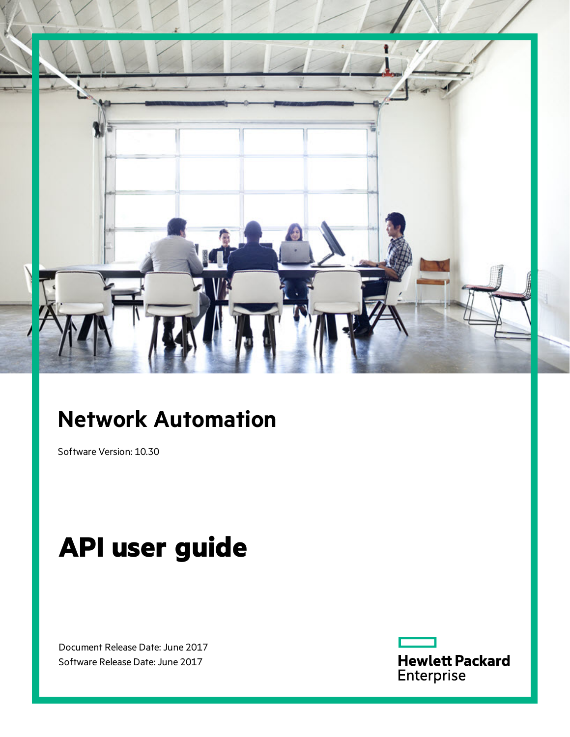

# **Network Automation**

Software Version: 10.30

# **API user guide**

Document Release Date: June 2017 Software Release Date: June 2017

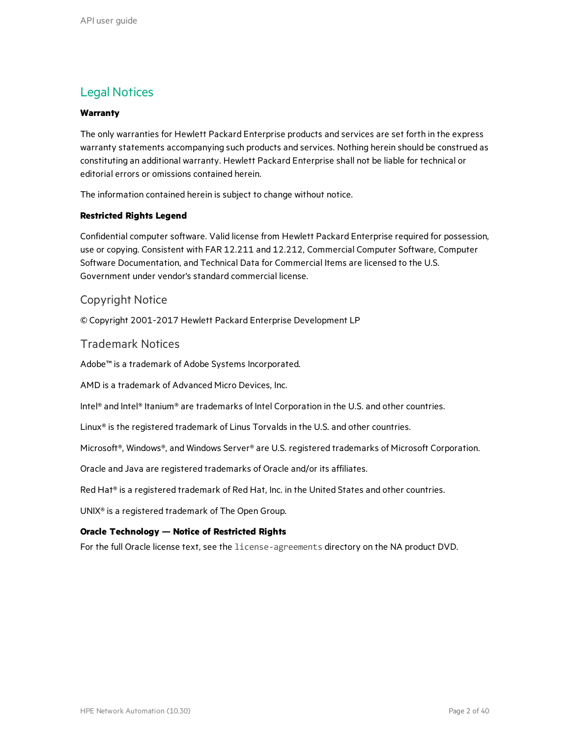#### Legal Notices

#### **Warranty**

The only warranties for Hewlett Packard Enterprise products and services are set forth in the express warranty statements accompanying such products and services. Nothing herein should be construed as constituting an additional warranty. Hewlett Packard Enterprise shall not be liable for technical or editorial errors or omissions contained herein.

The information contained herein is subject to change without notice.

#### **Restricted Rights Legend**

Confidential computer software. Valid license from Hewlett Packard Enterprise required for possession, use or copying. Consistent with FAR 12.211 and 12.212, Commercial Computer Software, Computer Software Documentation, and Technical Data for Commercial Items are licensed to the U.S. Government under vendor's standard commercial license.

#### Copyright Notice

© Copyright 2001-2017 Hewlett Packard Enterprise Development LP

Trademark Notices

Adobe™ is a trademark of Adobe Systems Incorporated.

AMD is a trademark of Advanced Micro Devices, Inc.

Intel® and Intel® Itanium® are trademarks of Intel Corporation in the U.S. and other countries.

Linux® is the registered trademark of Linus Torvalds in the U.S. and other countries.

Microsoft®, Windows®, and Windows Server® are U.S. registered trademarks of Microsoft Corporation.

Oracle and Java are registered trademarks of Oracle and/or its affiliates.

Red Hat® is a registered trademark of Red Hat, Inc. in the United States and other countries.

UNIX® is a registered trademark of The Open Group.

#### **Oracle Technology — Notice of Restricted Rights**

For the full Oracle license text, see the license-agreements directory on the NA product DVD.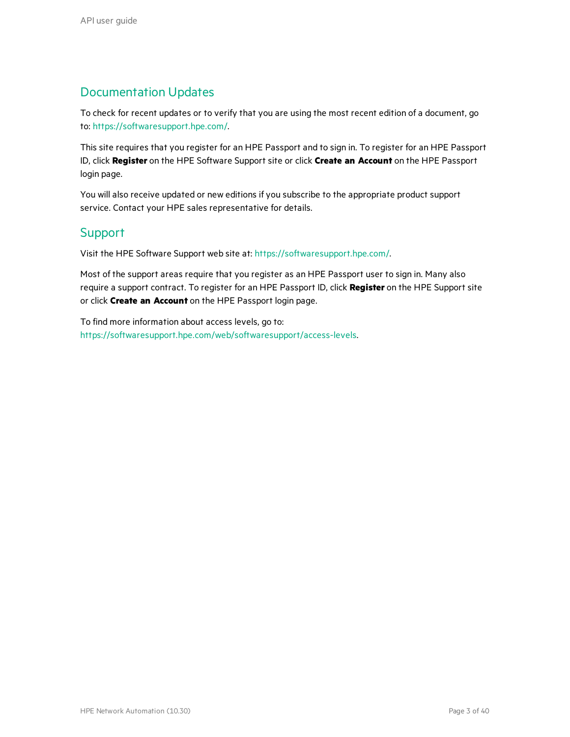#### Documentation Updates

To check for recent updates or to verify that you are using the most recent edition of a document, go to: <https://softwaresupport.hpe.com/>.

This site requires that you register for an HPE Passport and to sign in. To register for an HPE Passport ID, click **Register** on the HPE Software Support site or click **Create an Account** on the HPE Passport login page.

You will also receive updated or new editions if you subscribe to the appropriate product support service. Contact your HPE sales representative for details.

#### Support

Visit the HPE Software Support web site at: <https://softwaresupport.hpe.com/>.

Most of the support areas require that you register as an HPE Passport user to sign in. Many also require a support contract. To register for an HPE Passport ID, click **Register** on the HPE Support site or click **Create an Account** on the HPE Passport login page.

To find more information about access levels, go to: <https://softwaresupport.hpe.com/web/softwaresupport/access-levels>.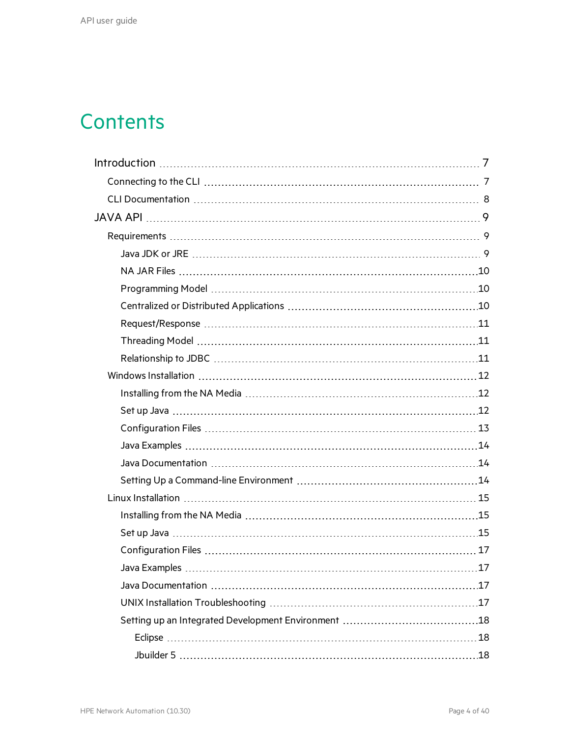# **Contents**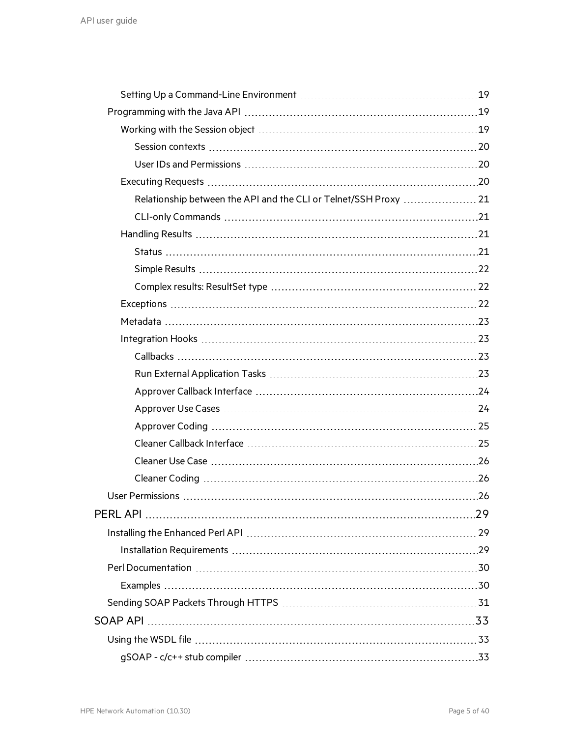| Relationship between the API and the CLI or Telnet/SSH Proxy  21 |  |
|------------------------------------------------------------------|--|
|                                                                  |  |
|                                                                  |  |
|                                                                  |  |
|                                                                  |  |
|                                                                  |  |
|                                                                  |  |
|                                                                  |  |
|                                                                  |  |
|                                                                  |  |
|                                                                  |  |
|                                                                  |  |
|                                                                  |  |
|                                                                  |  |
|                                                                  |  |
|                                                                  |  |
|                                                                  |  |
|                                                                  |  |
|                                                                  |  |
|                                                                  |  |
|                                                                  |  |
|                                                                  |  |
|                                                                  |  |
|                                                                  |  |
|                                                                  |  |
|                                                                  |  |
|                                                                  |  |
|                                                                  |  |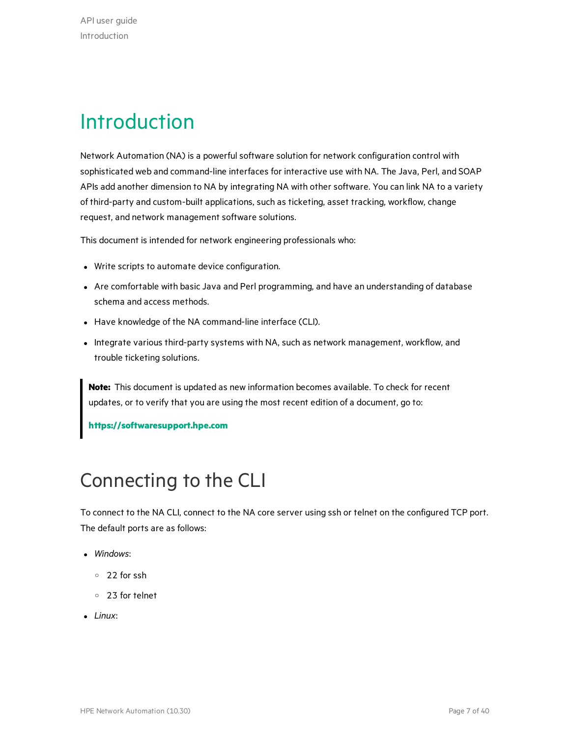# <span id="page-6-0"></span>Introduction

Network Automation (NA) is a powerful software solution for network configuration control with sophisticated web and command-line interfaces for interactive use with NA. The Java, Perl, and SOAP APIs add another dimension to NA by integrating NA with other software. You can link NA to a variety of third-party and custom-built applications, such as ticketing, asset tracking, workflow, change request, and network management software solutions.

This document is intended for network engineering professionals who:

- Write scripts to automate device configuration.
- Are comfortable with basic Java and Perl programming, and have an understanding of database schema and access methods.
- Have knowledge of the NA command-line interface (CLI).
- Integrate various third-party systems with NA, such as network management, workflow, and trouble ticketing solutions.

**Note:** This document is updated as new information becomes available. To check for recent updates, or to verify that you are using the most recent edition of a document, go to:

**[https://softwaresupport.hpe.com](https://softwaresupport.hpe.com/)**

# <span id="page-6-1"></span>Connecting to the CLI

To connect to the NA CLI, connect to the NA core server using ssh or telnet on the configured TCP port. The default ports are as follows:

- *Windows:* 
	- <sup>o</sup> 22 for ssh
	- <sup>o</sup> 23 for telnet
- Linux: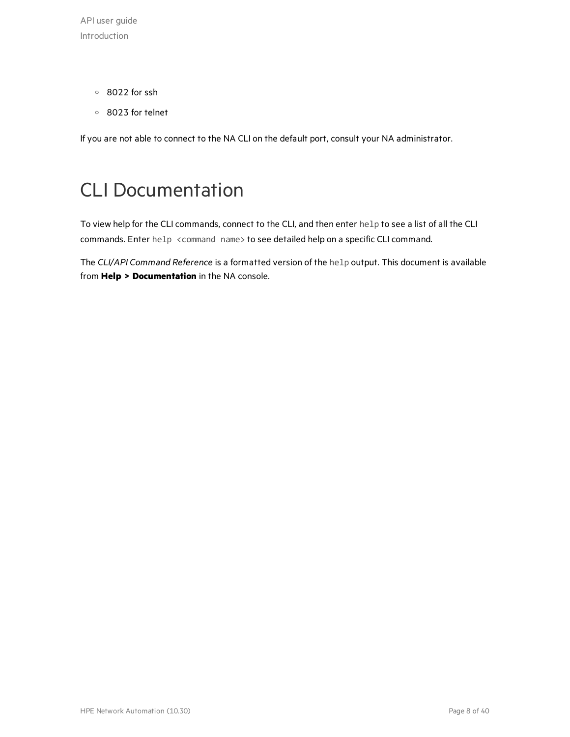API user guide Introduction

- <sup>o</sup> 8022 for ssh
- <sup>o</sup> 8023 for telnet

<span id="page-7-0"></span>If you are not able to connect to the NA CLI on the default port, consult your NA administrator.

## CLI Documentation

To view help for the CLI commands, connect to the CLI, and then enter help to see a list of all the CLI commands. Enter help <command name> to see detailed help on a specific CLI command.

The *CLI/API Command Reference* is a formatted version of the help output. This document is available from **Help > Documentation** in the NA console.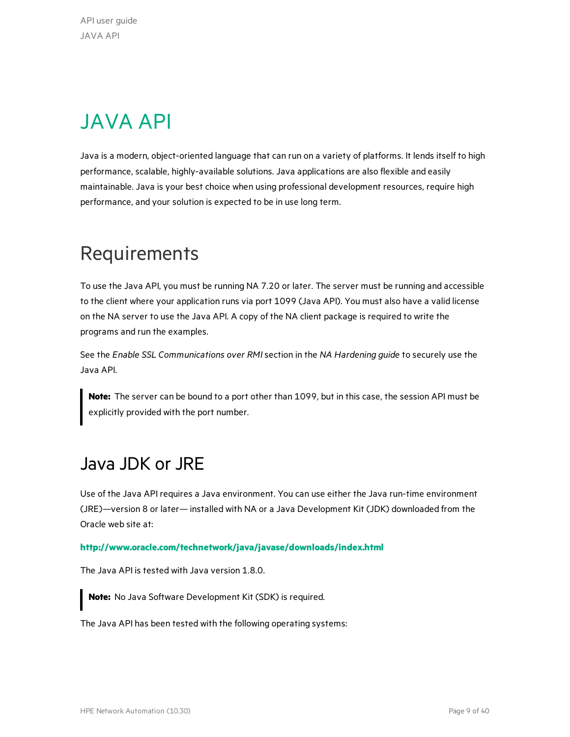# <span id="page-8-0"></span>JAVA API

Java is a modern, object-oriented language that can run on a variety of platforms. It lends itself to high performance, scalable, highly-available solutions. Java applications are also flexible and easily maintainable. Java is your best choice when using professional development resources, require high performance, and your solution is expected to be in use long term.

# <span id="page-8-1"></span>Requirements

To use the Java API, you must be running NA 7.20 or later. The server must be running and accessible to the client where your application runs via port 1099 (Java API). You must also have a valid license on the NA server to use the Java API. A copy of the NA client package is required to write the programs and run the examples.

See the *Enable SSL Communications over RMI*section in the *NA Hardening guide* to securely use the Java API.

**Note:** The server can be bound to a port other than 1099, but in this case, the session API must be explicitly provided with the port number.

### <span id="page-8-2"></span>Java JDK orJRE

Use of the Java API requires a Java environment. You can use either the Java run-time environment (JRE)—version 8 or later— installed with NA or a Java Development Kit (JDK) downloaded from the Oracle web site at:

#### **<http://www.oracle.com/technetwork/java/javase/downloads/index.html>**

The Java API is tested with Java version 1.8.0.

**Note:** No Java Software Development Kit (SDK) is required.

The Java API has been tested with the following operating systems: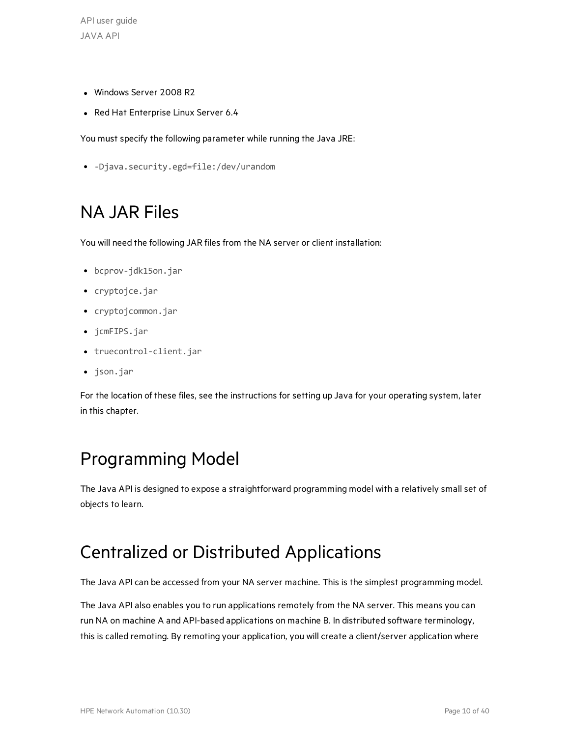API user guide JAVA API

- Windows Server 2008 R2
- Red Hat Enterprise Linux Server 6.4

You must specify the following parameter while running the Java JRE:

<span id="page-9-0"></span><sup>l</sup> -Djava.security.egd=file:/dev/urandom

## NA JAR Files

You will need the following JAR files from the NA server or client installation:

- bcprov-jdk15on.jar
- cryptojce.jar
- cryptojcommon.jar
- jcmFIPS.jar
- truecontrol-client.jar
- json.jar

For the location of these files, see the instructions for setting up Java for your operating system, later in this chapter.

### <span id="page-9-1"></span>Programming Model

The Java API is designed to expose a straightforward programming model with a relatively small set of objects to learn.

### <span id="page-9-2"></span>Centralized or Distributed Applications

The Java API can be accessed from your NA server machine. This is the simplest programming model.

The Java API also enables you to run applications remotely from the NA server. This means you can run NA on machine A and API-based applications on machine B. In distributed software terminology, this is called remoting. By remoting your application, you will create a client/server application where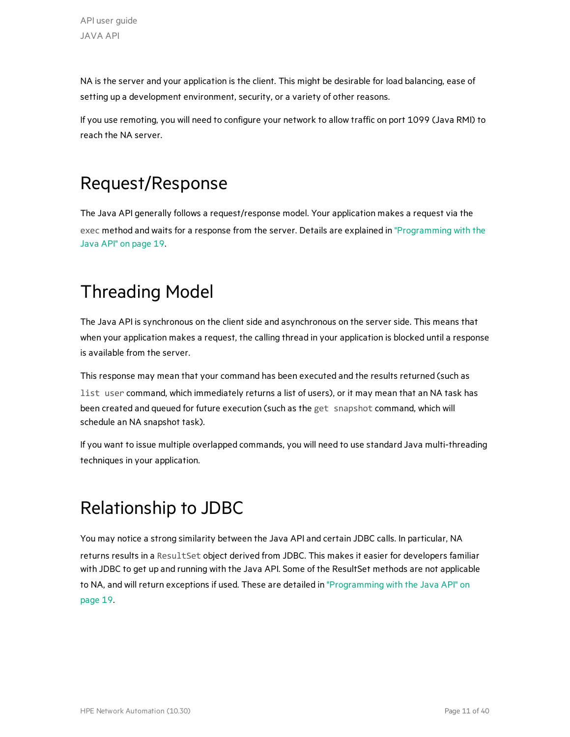NA is the server and your application is the client. This might be desirable for load balancing, ease of setting up a development environment, security, or a variety of other reasons.

If you use remoting, you will need to configure your network to allow traffic on port 1099 (Java RMI) to reach the NA server.

# <span id="page-10-0"></span>Request/Response

The Java API generally follows a request/response model. Your application makes a request via the exec method and waits for a response from the server. Details are explained in ["Programming](#page-18-1) with the Java API" on [page](#page-18-1) 19.

# <span id="page-10-1"></span>Threading Model

The Java API is synchronous on the client side and asynchronous on the server side. This means that when your application makes a request, the calling thread in your application is blocked until a response is available from the server.

This response may mean that your command has been executed and the results returned (such as list user command, which immediately returns a list of users), or it may mean that an NA task has been created and queued for future execution (such as the get snapshot command, which will schedule an NA snapshot task).

If you want to issue multiple overlapped commands, you will need to use standard Java multi-threading techniques in your application.

# <span id="page-10-2"></span>Relationship to JDBC

You may notice a strong similarity between the Java API and certain JDBC calls. In particular, NA returns results in a ResultSet object derived from JDBC. This makes it easier for developers familiar with JDBC to get up and running with the Java API. Some of the ResultSet methods are not applicable to NA, and will return exceptions if used. These are detailed in ["Programming](#page-18-1) with the Java API" on [page](#page-18-1) 19.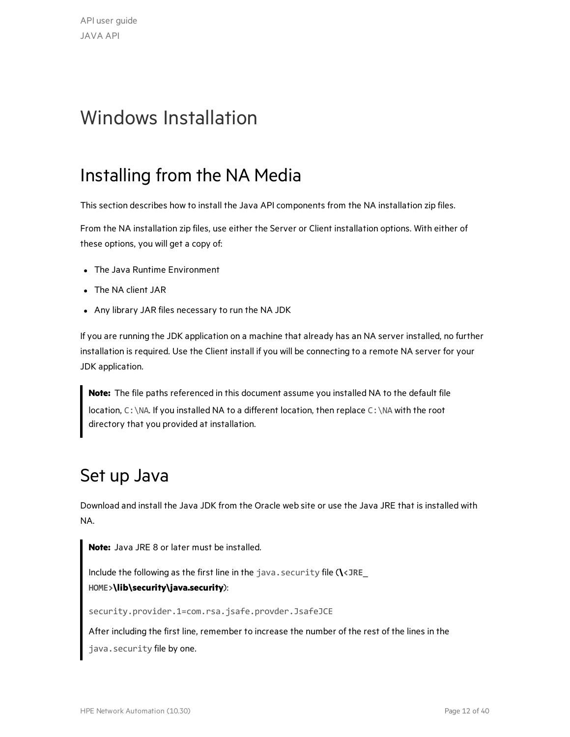# <span id="page-11-0"></span>Windows Installation

### <span id="page-11-1"></span>Installing from the NA Media

This section describes how to install the Java API components from the NA installation zip files.

From the NA installation zip files, use either the Server or Client installation options. With either of these options, you will get a copy of:

- The Java Runtime Environment
- The NA client JAR
- Any library JAR files necessary to run the NA JDK

If you are running the JDK application on a machine that already has an NA server installed, no further installation is required. Use the Client install if you will be connecting to a remote NA server for your JDK application.

**Note:** The file paths referenced in this document assume you installed NA to the default file location, C: \NA. If you installed NA to a different location, then replace C: \NA with the root directory that you provided at installation.

#### <span id="page-11-2"></span>Set up Java

Download and install the Java JDK from the Oracle web site or use the Java JRE that is installed with NA.

**Note:** Java JRE 8 or later must be installed.

Include the following as the first line in the java.security file (**\<JRE\_ HOME>\lib\security\java.security**):

security.provider.1=com.rsa.jsafe.provder.JsafeJCE

After including the first line, remember to increase the number of the rest of the lines in the java.security file by one.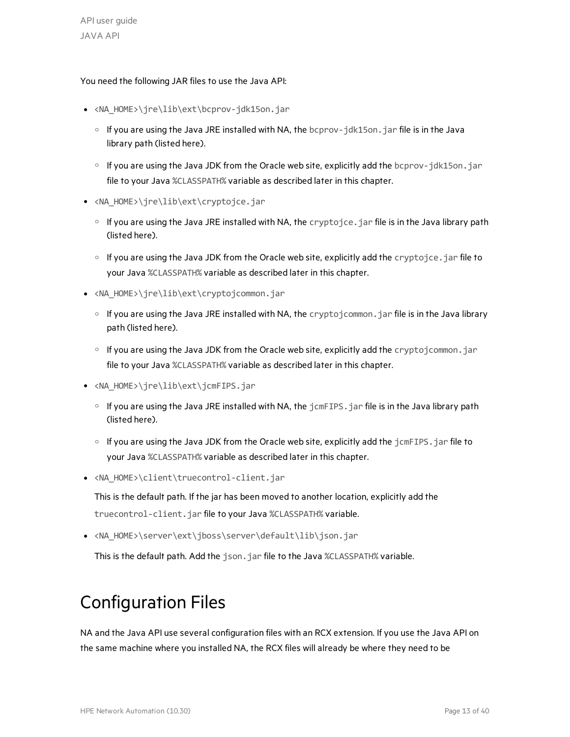#### You need the following JAR files to use the Java API:

- <NA\_HOME>\jre\lib\ext\bcprov-jdk15on.jar
	- $\circ$  If you are using the Java JRE installed with NA, the bcprov- $\frac{1}{1}$ dk15on.  $\frac{1}{1}$ ar file is in the Java library path (listed here).
	- <sup>o</sup> If you are using the Java JDK from the Oracle web site, explicitly add the bcprov-jdk15on.jar file to your Java %CLASSPATH% variable as described later in this chapter.
- <NA\_HOME>\jre\lib\ext\cryptojce.jar
	- o If you are using the Java JRE installed with NA, the cryptojce.jar file is in the Java library path (listed here).
	- $\circ$  If you are using the Java JDK from the Oracle web site, explicitly add the cryptojce. jar file to your Java %CLASSPATH% variable as described later in this chapter.
- <NA\_HOME>\jre\lib\ext\cryptojcommon.jar
	- $\circ$  If you are using the Java JRE installed with NA, the cryptojcommon.jar file is in the Java library path (listed here).
	- o If you are using the Java JDK from the Oracle web site, explicitly add the cryptojcommon.jar file to your Java %CLASSPATH% variable as described later in this chapter.
- <NA\_HOME>\jre\lib\ext\jcmFIPS.jar
	- o If you are using the Java JRE installed with NA, the jcmFIPS. jar file is in the Java library path (listed here).
	- $\circ$  If you are using the Java JDK from the Oracle web site, explicitly add the  $\frac{1}{1}$ cmFIPS.  $\frac{1}{1}$ ar file to your Java %CLASSPATH% variable as described later in this chapter.
- <NA\_HOME>\client\truecontrol-client.jar

This is the default path. If the jar has been moved to another location, explicitly add the truecontrol-client.jar file to your Java %CLASSPATH% variable.

• <NA\_HOME>\server\ext\jboss\server\default\lib\json.jar

This is the default path. Add the json.jar file to the Java %CLASSPATH% variable.

# <span id="page-12-0"></span>Configuration Files

NA and the Java API use several configuration files with an RCX extension. If you use the Java API on the same machine where you installed NA, the RCX files will already be where they need to be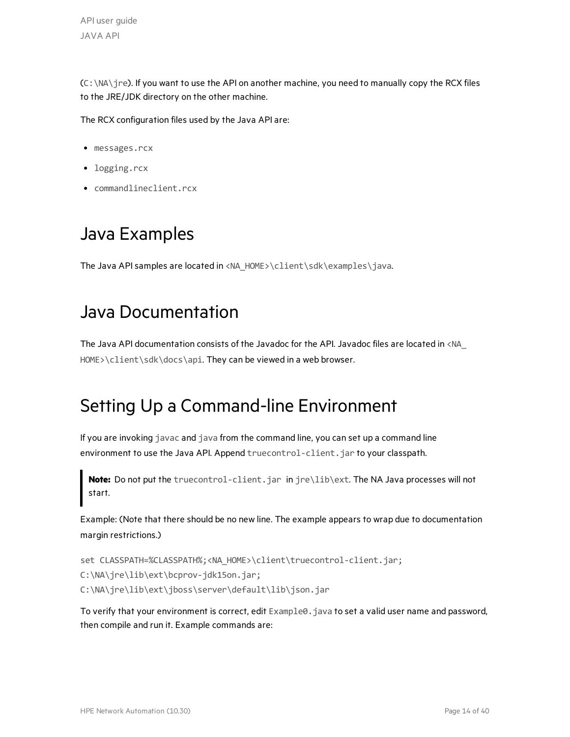$(C:\NA\$  ire). If you want to use the API on another machine, you need to manually copy the RCX files to the JRE/JDK directory on the other machine.

The RCX configuration files used by the Java API are:

- messages.rcx
- logging.rcx
- <span id="page-13-0"></span>• commandlineclient.rcx

### Java Examples

<span id="page-13-1"></span>The Java API samples are located in <NA\_HOME>\client\sdk\examples\java.

### Java Documentation

The Java API documentation consists of the Javadoc for the API. Javadoc files are located in <NA\_ HOME>\client\sdk\docs\api. They can be viewed in a web browser.

### <span id="page-13-2"></span>Setting Up a Command-line Environment

If you are invoking javac and java from the command line, you can set up a command line environment to use the Java API. Append truecontrol-client. jar to your classpath.

**Note:** Do not put the truecontrol-client.jar in jre\lib\ext. The NA Java processes will not start.

Example: (Note that there should be no new line. The example appears to wrap due to documentation margin restrictions.)

```
set CLASSPATH=%CLASSPATH%;<NA_HOME>\client\truecontrol-client.jar;
C:\NA\jre\lib\ext\bcprov-jdk15on.jar;
C:\NA\jre\lib\ext\jboss\server\default\lib\json.jar
```
To verify that your environment is correct, edit Example0.java to set a valid user name and password, then compile and run it. Example commands are: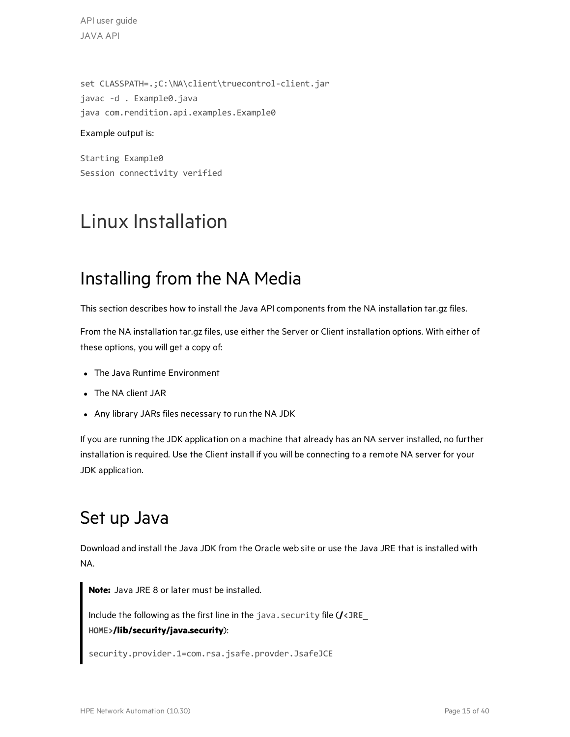API user guide JAVA API

set CLASSPATH=.;C:\NA\client\truecontrol-client.jar javac -d . Example0.java java com.rendition.api.examples.Example0

#### Example output is:

Starting Example0 Session connectivity verified

# <span id="page-14-0"></span>Linux Installation

### <span id="page-14-1"></span>Installing from the NA Media

This section describes how to install the Java API components from the NA installation tar.gz files.

From the NA installation tar.gz files, use either the Server or Client installation options. With either of these options, you will get a copy of:

- The Java Runtime Environment
- The NA client JAR
- Any library JARs files necessary to run the NA JDK

If you are running the JDK application on a machine that already has an NA server installed, no further installation is required. Use the Client install if you will be connecting to a remote NA server for your JDK application.

### <span id="page-14-2"></span>Set up Java

Download and install the Java JDK from the Oracle web site or use the Java JRE that is installed with NA.

**Note:** Java JRE 8 or later must be installed. Include the following as the first line in the java.security file (**/<JRE\_ HOME>/lib/security/java.security**): security.provider.1=com.rsa.jsafe.provder.JsafeJCE

HPE Network Automation (10.30) example to the state of 40 and the state of 40 and the Page 15 of 40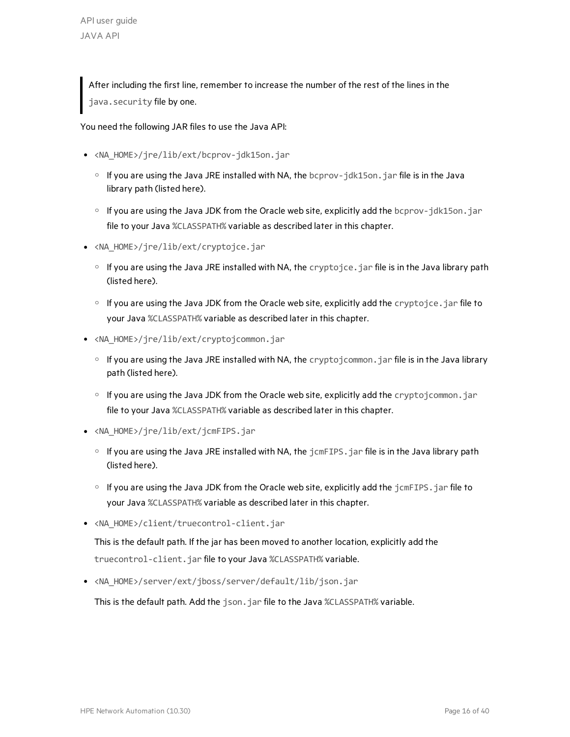After including the first line, remember to increase the number of the rest of the lines in the java.security file by one.

You need the following JAR files to use the Java API:

- <NA HOME>/jre/lib/ext/bcprov-jdk15on.jar
	- o If you are using the Java JRE installed with NA, the bcprov-jdk15on. jar file is in the Java library path (listed here).
	- o If you are using the Java JDK from the Oracle web site, explicitly add the bcprov-jdk15on.jar file to your Java %CLASSPATH% variable as described later in this chapter.
- <NA\_HOME>/jre/lib/ext/cryptojce.jar
	- $\circ$  If you are using the Java JRE installed with NA, the cryptojce. jar file is in the Java library path (listed here).
	- $\circ$  If you are using the Java JDK from the Oracle web site, explicitly add the cryptojce. jar file to your Java %CLASSPATH% variable as described later in this chapter.
- <NA\_HOME>/jre/lib/ext/cryptojcommon.jar
	- $\circ$  If you are using the Java JRE installed with NA, the cryptojcommon.jar file is in the Java library path (listed here).
	- o If you are using the Java JDK from the Oracle web site, explicitly add the cryptojcommon.jar file to your Java %CLASSPATH% variable as described later in this chapter.
- <NA\_HOME>/jre/lib/ext/jcmFIPS.jar
	- $\circ$  If you are using the Java JRE installed with NA, the  $j$ cmFIPS.  $j$ ar file is in the Java library path (listed here).
	- $\circ$  If you are using the Java JDK from the Oracle web site, explicitly add the  $\frac{1}{1}$ cmFIPS.  $\frac{1}{1}$ ar file to your Java %CLASSPATH% variable as described later in this chapter.
- <NA\_HOME>/client/truecontrol-client.jar

This is the default path. If the jar has been moved to another location, explicitly add the truecontrol-client.jar file to your Java %CLASSPATH% variable.

• <NA\_HOME>/server/ext/jboss/server/default/lib/json.jar

This is the default path. Add the json.jar file to the Java %CLASSPATH% variable.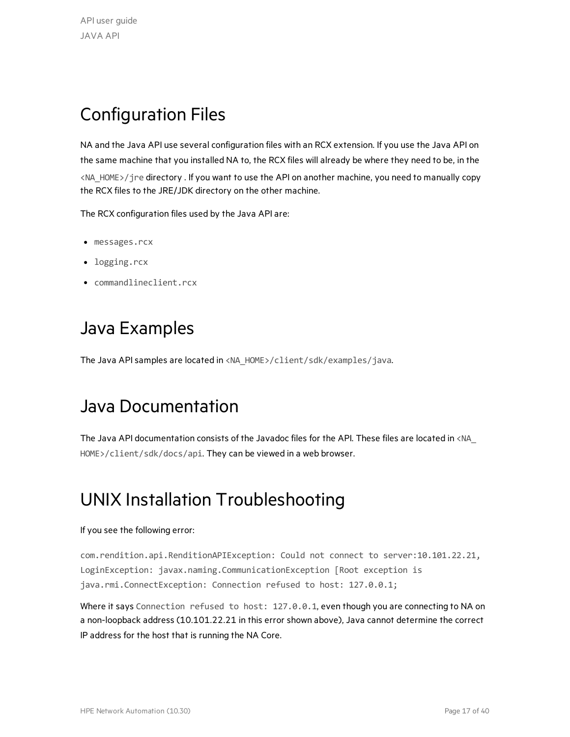# <span id="page-16-0"></span>Configuration Files

NA and the Java API use several configuration files with an RCX extension. If you use the Java API on the same machine that you installed NA to, the RCX files will already be where they need to be, in the <NA\_HOME>/jre directory . If you want to use the API on another machine, you need to manually copy the RCX files to the JRE/JDK directory on the other machine.

The RCX configuration files used by the Java API are:

- messages.rcx
- logging.rcx
- <span id="page-16-1"></span>• commandlineclient.rcx

### Java Examples

<span id="page-16-2"></span>The Java API samples are located in <NA\_HOME>/client/sdk/examples/java.

#### Java Documentation

The Java API documentation consists of the Javadoc files for the API. These files are located in <NA\_ HOME>/client/sdk/docs/api. They can be viewed in a web browser.

#### <span id="page-16-3"></span>UNIX Installation Troubleshooting

#### If you see the following error:

com.rendition.api.RenditionAPIException: Could not connect to server:10.101.22.21, LoginException: javax.naming.CommunicationException [Root exception is java.rmi.ConnectException: Connection refused to host: 127.0.0.1;

Where it says Connection refused to host: 127.0.0.1, even though you are connecting to NA on a non-loopback address (10.101.22.21 in this error shown above), Java cannot determine the correct IP address for the host that is running the NA Core.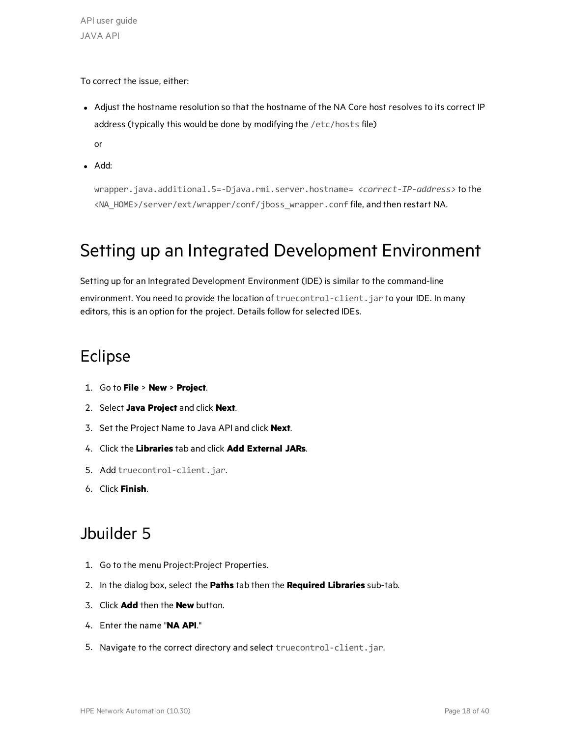API user guide JAVA API

To correct the issue, either:

• Adjust the hostname resolution so that the hostname of the NA Core host resolves to its correct IP address (typically this would be done by modifying the /etc/hosts file)

or

• Add:

wrapper.java.additional.5=-Djava.rmi.server.hostname= *<correct-IP-address>* to the <NA\_HOME>/server/ext/wrapper/conf/jboss\_wrapper.conf file, and then restart NA.

### <span id="page-17-0"></span>Setting up an Integrated Development Environment

Setting up for an Integrated Development Environment (IDE) is similar to the command-line environment. You need to provide the location of truecontrol-client.jar to your IDE. In many editors, this is an option for the project. Details follow for selected IDEs.

#### <span id="page-17-1"></span>Eclipse

- 1. Go to **File** > **New** > **Project**.
- 2. Select **Java Project** and click **Next**.
- 3. Set the Project Name to Java API and click **Next**.
- 4. Click the **Libraries** tab and click **Add External JARs**.
- 5. Add truecontrol-client.jar.
- 6. Click **Finish**.

#### <span id="page-17-2"></span>Jbuilder 5

- 1. Go to the menu Project:Project Properties.
- 2. In the dialog box, select the **Paths** tab then the **Required Libraries** sub-tab.
- 3. Click **Add** then the **New** button.
- 4. Enter the name "**NA API**."
- 5. Navigate to the correct directory and select truecontrol-client.jar.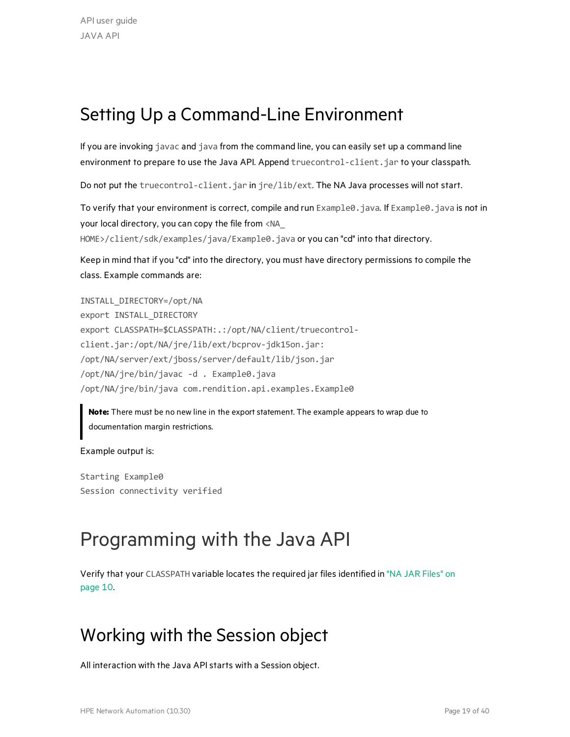### <span id="page-18-0"></span>Setting Up a Command-Line Environment

If you are invoking javac and java from the command line, you can easily set up a command line environment to prepare to use the Java API. Append truecontrol-client.jar to your classpath.

Do not put the truecontrol-client.jar in jre/lib/ext. The NA Java processes will not start.

To verify that your environment is correct, compile and run Example0. java. If Example0. java is not in your local directory, you can copy the file from <NA\_

HOME>/client/sdk/examples/java/Example0.java or you can "cd" into that directory.

Keep in mind that if you "cd" into the directory, you must have directory permissions to compile the class. Example commands are:

INSTALL\_DIRECTORY=/opt/NA export INSTALL\_DIRECTORY export CLASSPATH=\$CLASSPATH:.:/opt/NA/client/truecontrolclient.jar:/opt/NA/jre/lib/ext/bcprov-jdk15on.jar: /opt/NA/server/ext/jboss/server/default/lib/json.jar /opt/NA/jre/bin/javac -d . Example0.java /opt/NA/jre/bin/java com.rendition.api.examples.Example0

**Note:** There must be no new line in the export statement. The example appears to wrap due to documentation margin restrictions.

Example output is:

Starting Example0 Session connectivity verified

# <span id="page-18-1"></span>Programming with the Java API

Verify that your CLASSPATH variable locates the required jar files identified in "NA JAR [Files"](#page-9-0) on [page](#page-9-0) 10.

#### <span id="page-18-2"></span>Working with the Session object

All interaction with the Java APIstarts with a Session object.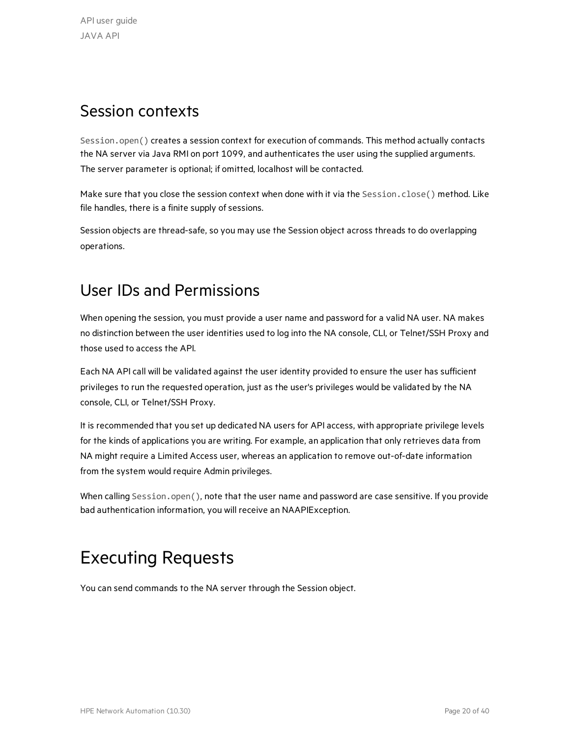#### <span id="page-19-0"></span>Session contexts

Session.open() creates a session context for execution of commands. This method actually contacts the NA server via Java RMI on port 1099, and authenticates the user using the supplied arguments. The server parameter is optional; if omitted, localhost will be contacted.

Make sure that you close the session context when done with it via the Session.close() method. Like file handles, there is a finite supply of sessions.

Session objects are thread-safe, so you may use the Session object across threads to do overlapping operations.

#### <span id="page-19-1"></span>User IDs and Permissions

When opening the session, you must provide a user name and password for a valid NA user. NA makes no distinction between the user identities used to log into the NA console, CLI, or Telnet/SSH Proxy and those used to access the API.

Each NA API call will be validated against the user identity provided to ensure the user has sufficient privileges to run the requested operation, just as the user's privileges would be validated by the NA console, CLI, or Telnet/SSH Proxy.

It is recommended that you set up dedicated NA users for API access, with appropriate privilege levels for the kinds of applications you are writing. For example, an application that only retrieves data from NA might require a Limited Access user, whereas an application to remove out-of-date information from the system would require Admin privileges.

When calling Session.open(), note that the user name and password are case sensitive. If you provide bad authentication information, you will receive an NAAPIException.

### <span id="page-19-2"></span>Executing Requests

You can send commands to the NA server through the Session object.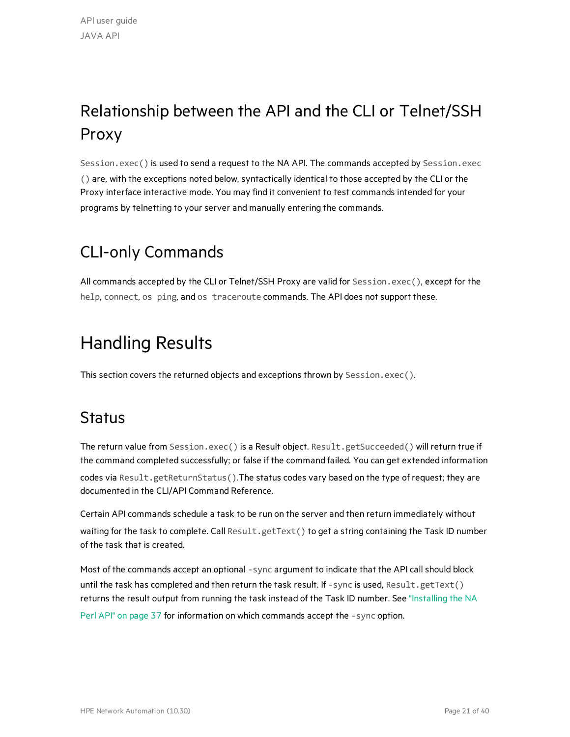# <span id="page-20-0"></span>Relationship between the API and the CLI or Telnet/SSH Proxy

Session.exec() is used to send a request to the NA API. The commands accepted by Session.exec () are, with the exceptions noted below, syntactically identical to those accepted by the CLI or the Proxy interface interactive mode. You may find it convenient to test commands intended for your programs by telnetting to your server and manually entering the commands.

### <span id="page-20-1"></span>CLI-only Commands

All commands accepted by the CLI or Telnet/SSH Proxy are valid for Session.exec(), except for the help, connect, os ping, and os traceroute commands. The API does not support these.

# <span id="page-20-2"></span>Handling Results

<span id="page-20-3"></span>This section covers the returned objects and exceptions thrown by Session.exec().

#### **Status**

The return value from Session.exec() is a Result object. Result.getSucceeded() will return true if the command completed successfully; or false if the command failed. You can get extended information

codes via Result.getReturnStatus().The status codes vary based on the type of request; they are documented in the CLI/API Command Reference.

Certain API commands schedule a task to be run on the server and then return immediately without waiting for the task to complete. Call Result.getText() to get a string containing the Task ID number of the task that is created.

Most of the commands accept an optional -sync argument to indicate that the API call should block until the task has completed and then return the task result. If -sync is used, Result.getText() returns the result output from running the task instead of the Task ID number. See ["Installing](#page-36-0) the NA

Perl API" on [page](#page-36-0) 37 for information on which commands accept the -sync option.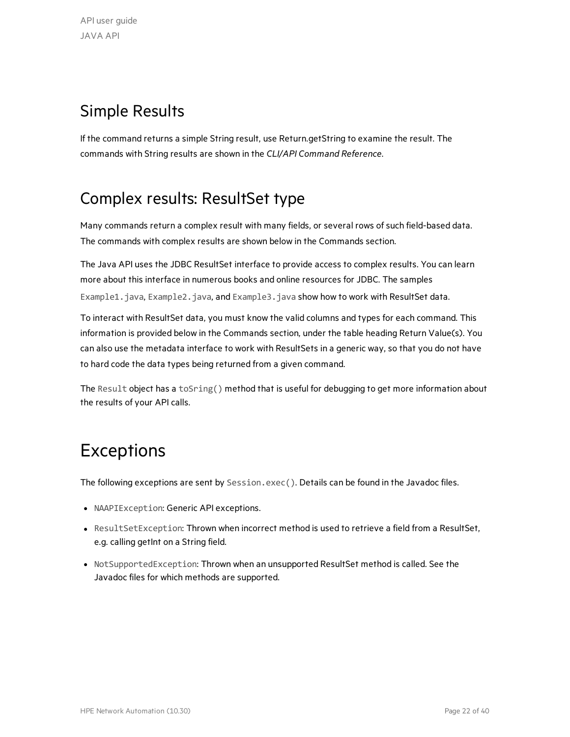### <span id="page-21-0"></span>Simple Results

If the command returns a simple String result, use Return.getString to examine the result. The commands with String results are shown in the *CLI/API Command Reference*.

### <span id="page-21-1"></span>Complex results: ResultSet type

Many commands return a complex result with many fields, or several rows of such field-based data. The commands with complex results are shown below in the Commands section.

The Java API uses the JDBC ResultSet interface to provide access to complex results. You can learn more about this interface in numerous books and online resources for JDBC. The samples Example1.java, Example2.java, and Example3.java show how to work with ResultSet data.

To interact with ResultSet data, you must know the valid columns and types for each command. This information is provided below in the Commands section, under the table heading Return Value(s). You can also use the metadata interface to work with ResultSets in a generic way, so that you do not have to hard code the data types being returned from a given command.

The Result object has a toSring() method that is useful for debugging to get more information about the results of your API calls.

# <span id="page-21-2"></span>Exceptions

The following exceptions are sent by Session.exec(). Details can be found in the Javadoc files.

- NAAPIException: Generic API exceptions.
- ResultSetException: Thrown when incorrect method is used to retrieve a field from a ResultSet, e.g. calling getInt on a String field.
- NotSupportedException: Thrown when an unsupported ResultSet method is called. See the Javadoc files for which methods are supported.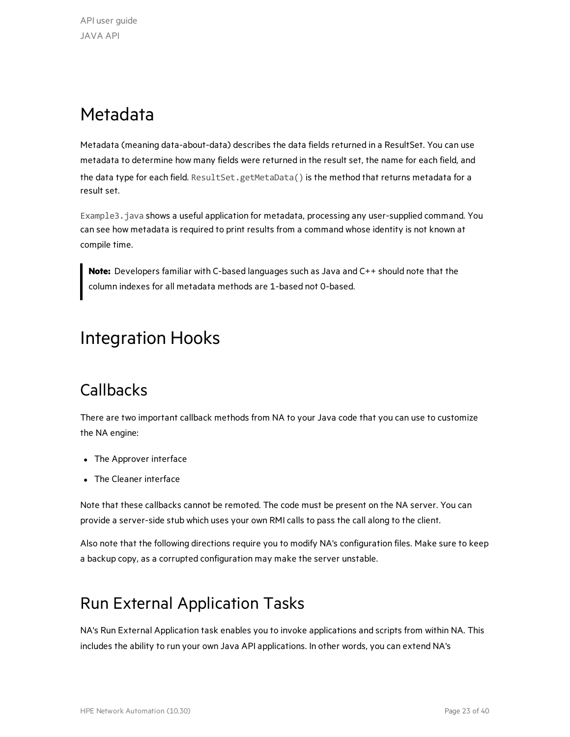# <span id="page-22-0"></span>Metadata

Metadata (meaning data-about-data) describes the data fields returned in a ResultSet. You can use metadata to determine how many fields were returned in the result set, the name for each field, and the data type for each field. ResultSet.getMetaData() is the method that returns metadata for a result set.

Example3. java shows a useful application for metadata, processing any user-supplied command. You can see how metadata is required to print results from a command whose identity is not known at compile time.

**Note:** Developers familiar with C-based languages such as Java and C++ should note that the column indexes for all metadata methods are 1-based not 0-based.

# <span id="page-22-1"></span>Integration Hooks

### <span id="page-22-2"></span>**Callbacks**

There are two important callback methods from NA to your Java code that you can use to customize the NA engine:

- The Approver interface
- The Cleaner interface

Note that these callbacks cannot be remoted. The code must be present on the NA server. You can provide a server-side stub which uses your own RMI calls to pass the call along to the client.

Also note that the following directions require you to modify NA's configuration files. Make sure to keep a backup copy, as a corrupted configuration may make the server unstable.

### <span id="page-22-3"></span>Run External Application Tasks

NA's Run External Application task enables you to invoke applications and scripts from within NA. This includes the ability to run your own Java API applications. In other words, you can extend NA's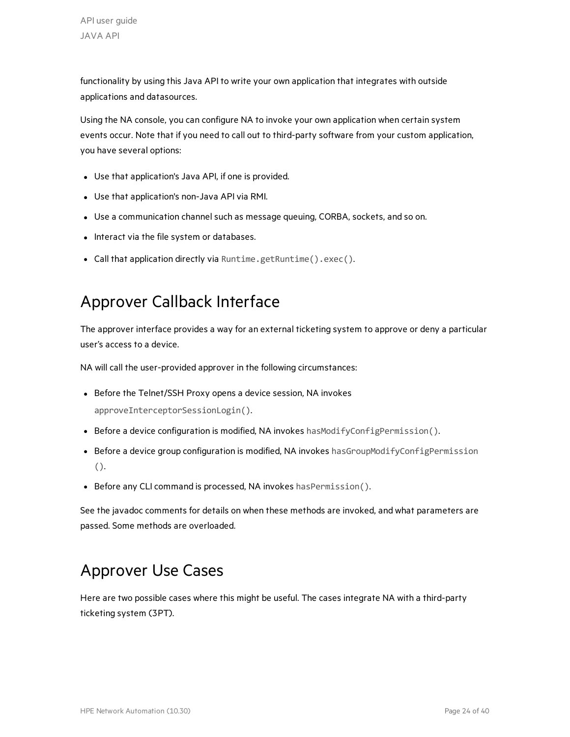functionality by using this Java API to write your own application that integrates with outside applications and datasources.

Using the NA console, you can configure NA to invoke your own application when certain system events occur. Note that if you need to call out to third-party software from your custom application, you have several options:

- Use that application's Java API, if one is provided.
- Use that application's non-Java API via RMI.
- Use a communication channel such as message queuing, CORBA, sockets, and so on.
- Interact via the file system or databases.
- <span id="page-23-0"></span>• Call that application directly via Runtime.getRuntime().exec().

#### Approver Callback Interface

The approver interface provides a way for an external ticketing system to approve or deny a particular user's access to a device.

NA will call the user-provided approver in the following circumstances:

- Before the Telnet/SSH Proxy opens a device session, NA invokes approveInterceptorSessionLogin().
- **Before a device configuration is modified, NA invokes** hasModifyConfigPermission().
- Before a device group configuration is modified, NA invokes hasGroupModifyConfigPermission ().
- Before any CLI command is processed, NA invokes hasPermission().

See the javadoc comments for details on when these methods are invoked, and what parameters are passed. Some methods are overloaded.

#### <span id="page-23-1"></span>Approver Use Cases

Here are two possible cases where this might be useful. The cases integrate NA with a third-party ticketing system (3PT).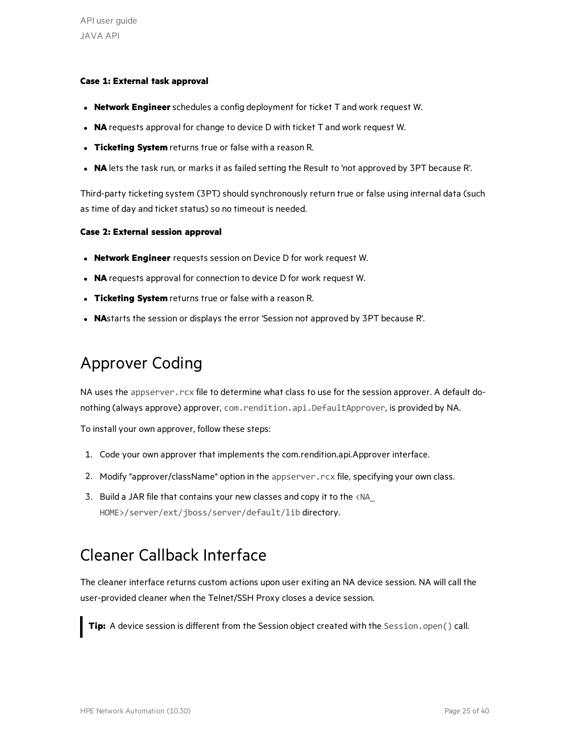#### **Case 1: External task approval**

- **Network Engineer** schedules a config deployment for ticket T and work request W.
- NA requests approval for change to device D with ticket T and work request W.
- **Ticketing System** returns true or false with a reason R.
- NA lets the task run, or marks it as failed setting the Result to 'not approved by 3PT because R'.

Third-party ticketing system (3PT) should synchronously return true or false using internal data (such as time of day and ticket status) so no timeout is needed.

#### **Case 2: External session approval**

- **Network Engineer** requests session on Device D for work request W.
- NA requests approval for connection to device D for work request W.
- **Ticketing System** returns true or false with a reason R.
- **NA**starts the session or displays the error 'Session not approved by 3PT because R'.

### <span id="page-24-0"></span>Approver Coding

NA uses the appserver.rcx file to determine what class to use for the session approver. A default donothing (always approve) approver, com.rendition.api.DefaultApprover, is provided by NA.

To install your own approver, follow these steps:

- 1. Code your own approver that implements the com.rendition.api.Approver interface.
- 2. Modify "approver/className" option in the appserver.rcx file, specifying your own class.
- 3. Build a JAR file that contains your new classes and copy it to the <NA HOME>/server/ext/jboss/server/default/lib directory.

#### <span id="page-24-1"></span>Cleaner Callback Interface

The cleaner interface returns custom actions upon user exiting an NA device session. NA will call the user-provided cleaner when the Telnet/SSH Proxy closes a device session.

**Tip:** A device session is different from the Session object created with the Session.open() call.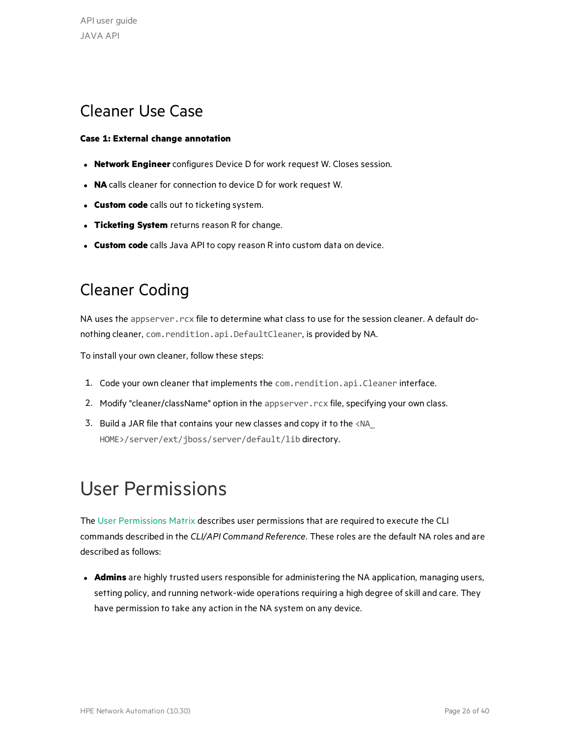#### <span id="page-25-0"></span>Cleaner Use Case

#### **Case 1: External change annotation**

- **Network Engineer** configures Device D for work request W. Closes session.
- **NA** calls cleaner for connection to device D for work request W.
- **Custom code** calls out to ticketing system.
- **Ticketing System** returns reason R for change.
- **Custom code** calls Java API to copy reason R into custom data on device.

### <span id="page-25-1"></span>Cleaner Coding

NA uses the appserver. rcx file to determine what class to use for the session cleaner. A default donothing cleaner, com. rendition.api.DefaultCleaner, is provided by NA.

To install your own cleaner, follow these steps:

- 1. Code your own cleaner that implements the com.rendition.api.Cleaner interface.
- 2. Modify "cleaner/className" option in the appserver.rcx file, specifying your own class.
- 3. Build a JAR file that contains your new classes and copy it to the <NA\_ HOME>/server/ext/jboss/server/default/lib directory.

# <span id="page-25-2"></span>User Permissions

The User [Permissions](#page-26-0) Matrix describes user permissions that are required to execute the CLI commands described in the *CLI/API Command Reference*. These roles are the default NA roles and are described as follows:

**Admins** are highly trusted users responsible for administering the NA application, managing users, setting policy, and running network-wide operations requiring a high degree ofskill and care. They have permission to take any action in the NA system on any device.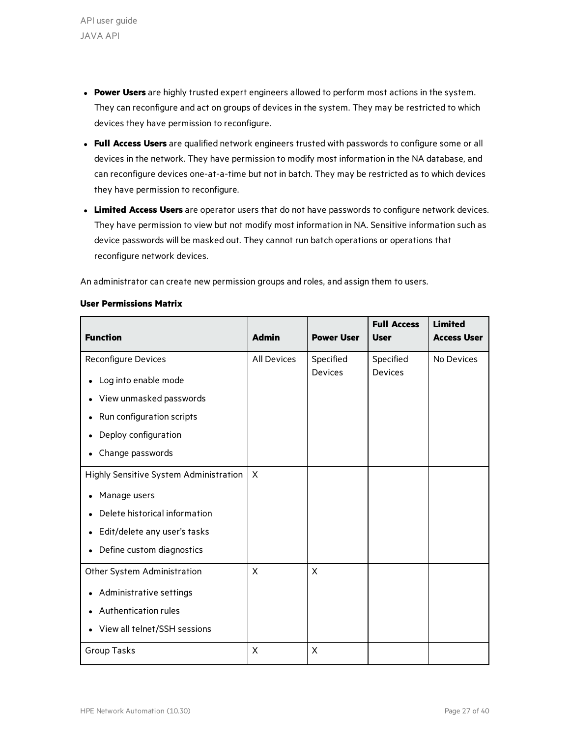- **Power Users** are highly trusted expert engineers allowed to perform most actions in the system. They can reconfigure and act on groups of devices in the system. They may be restricted to which devices they have permission to reconfigure.
- **Full Access Users** are qualified network engineers trusted with passwords to configure some or all devices in the network. They have permission to modify most information in the NA database, and can reconfigure devices one-at-a-time but not in batch. They may be restricted as to which devices they have permission to reconfigure.
- **Limited Access Users** are operator users that do not have passwords to configure network devices. They have permission to view but not modify most information in NA. Sensitive information such as device passwords will be masked out. They cannot run batch operations or operations that reconfigure network devices.

<span id="page-26-0"></span>An administrator can create new permission groups and roles, and assign them to users.

#### **User Permissions Matrix**

| <b>Function</b>                        | <b>Admin</b>       | <b>Power User</b> | <b>Full Access</b><br><b>User</b> | <b>Limited</b><br><b>Access User</b> |
|----------------------------------------|--------------------|-------------------|-----------------------------------|--------------------------------------|
| <b>Reconfigure Devices</b>             | <b>All Devices</b> | Specified         | Specified                         | No Devices                           |
| Log into enable mode                   |                    | <b>Devices</b>    | <b>Devices</b>                    |                                      |
| View unmasked passwords                |                    |                   |                                   |                                      |
| Run configuration scripts<br>$\bullet$ |                    |                   |                                   |                                      |
| Deploy configuration                   |                    |                   |                                   |                                      |
| Change passwords                       |                    |                   |                                   |                                      |
| Highly Sensitive System Administration | $\times$           |                   |                                   |                                      |
| Manage users                           |                    |                   |                                   |                                      |
| Delete historical information          |                    |                   |                                   |                                      |
| Edit/delete any user's tasks           |                    |                   |                                   |                                      |
| • Define custom diagnostics            |                    |                   |                                   |                                      |
| Other System Administration            | X                  | X                 |                                   |                                      |
| Administrative settings                |                    |                   |                                   |                                      |
| Authentication rules                   |                    |                   |                                   |                                      |
| View all telnet/SSH sessions           |                    |                   |                                   |                                      |
| Group Tasks                            | X                  | X                 |                                   |                                      |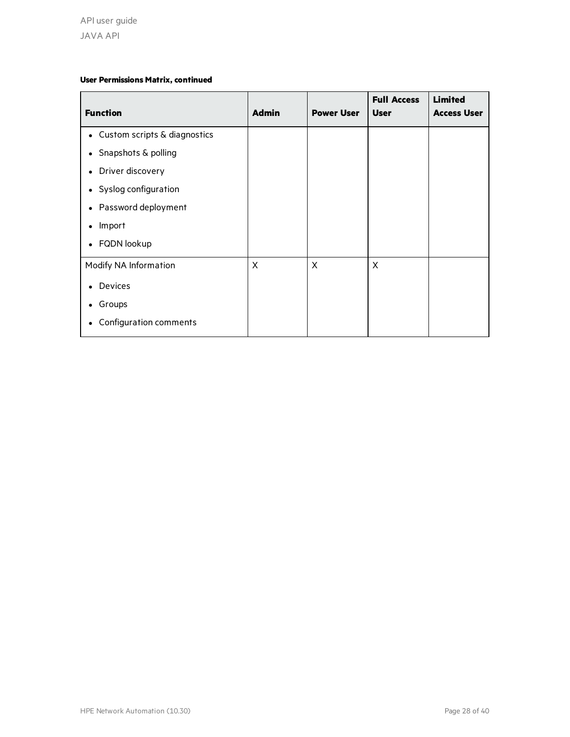#### **User Permissions Matrix, continued**

| <b>Function</b>                | <b>Admin</b> | <b>Power User</b> | <b>Full Access</b><br><b>User</b> | <b>Limited</b><br><b>Access User</b> |
|--------------------------------|--------------|-------------------|-----------------------------------|--------------------------------------|
| • Custom scripts & diagnostics |              |                   |                                   |                                      |
| • Snapshots & polling          |              |                   |                                   |                                      |
| • Driver discovery             |              |                   |                                   |                                      |
| • Syslog configuration         |              |                   |                                   |                                      |
| • Password deployment          |              |                   |                                   |                                      |
| Import                         |              |                   |                                   |                                      |
| • FQDN lookup                  |              |                   |                                   |                                      |
| Modify NA Information          | X            | X                 | X                                 |                                      |
| <b>Devices</b>                 |              |                   |                                   |                                      |
| Groups                         |              |                   |                                   |                                      |
| Configuration comments         |              |                   |                                   |                                      |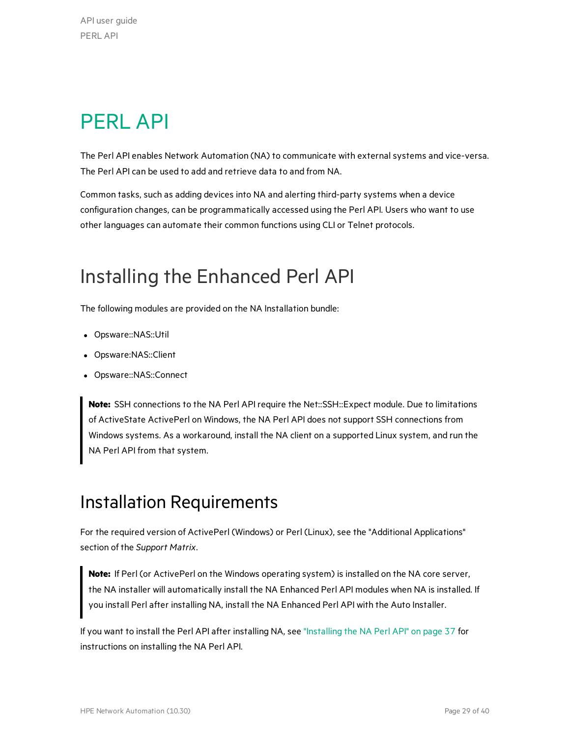# <span id="page-28-0"></span>PERL API

The Perl API enables Network Automation (NA) to communicate with external systems and vice-versa. The Perl API can be used to add and retrieve data to and from NA.

Common tasks, such as adding devices into NA and alerting third-party systems when a device configuration changes, can be programmatically accessed using the Perl API. Users who want to use other languages can automate their common functions using CLI or Telnet protocols.

# <span id="page-28-1"></span>Installing the Enhanced Perl API

The following modules are provided on the NA Installation bundle:

- Opsware::NAS::Util
- Opsware:NAS::Client
- Opsware::NAS::Connect

**Note:** SSH connections to the NA Perl API require the Net::SSH::Expect module. Due to limitations of ActiveState ActivePerl on Windows, the NA Perl API does not support SSH connections from Windows systems. As a workaround, install the NA client on a supported Linux system, and run the NA Perl API from that system.

### <span id="page-28-2"></span>Installation Requirements

For the required version of ActivePerl (Windows) or Perl (Linux), see the "Additional Applications" section of the *Support Matrix*.

**Note:** If Perl (or ActivePerl on the Windows operating system) is installed on the NA core server, the NA installer will automatically install the NA Enhanced Perl API modules when NA is installed. If you install Perl after installing NA, install the NA Enhanced Perl API with the Auto Installer.

If you want to install the Perl API after installing NA, see ["Installing](#page-36-0) the NA Perl API" on page 37 for instructions on installing the NA Perl API.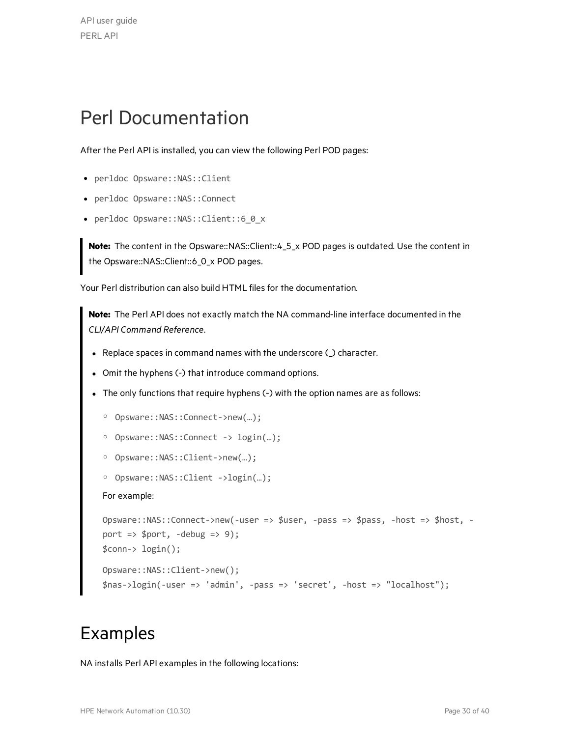# <span id="page-29-0"></span>Perl Documentation

After the Perl API is installed, you can view the following Perl POD pages:

- perldoc Opsware::NAS::Client
- perldoc Opsware::NAS::Connect
- perldoc Opsware::NAS::Client::6\_0\_x

**Note:** The content in the Opsware::NAS::Client::4\_5\_x POD pages is outdated. Use the content in the Opsware::NAS::Client::6\_0\_x POD pages.

Your Perl distribution can also build HTML files for the documentation.

**Note:** The Perl API does not exactly match the NA command-line interface documented in the *CLI/API Command Reference*.

- Replace spaces in command names with the underscore  $\bigcirc$  character.
- Omit the hyphens (-) that introduce command options.
- The only functions that require hyphens (-) with the option names are as follows:

```
o Opsware::NAS::Connect->new(…);
```
- o Opsware::NAS::Connect -> login(…);
- o Opsware::NAS::Client->new(…);
- o Opsware::NAS::Client ->login(…);

#### For example:

```
Opsware::NAS::Connect->new(-user => $user, -pass => $pass, -host => $host, -
port => $port, -debug => 9);$conn-> login();
Opsware::NAS::Client->new();
$nas->login(-user => 'admin', -pass => 'secret', -host => "localhost");
```
### <span id="page-29-1"></span>Examples

NA installs Perl API examples in the following locations: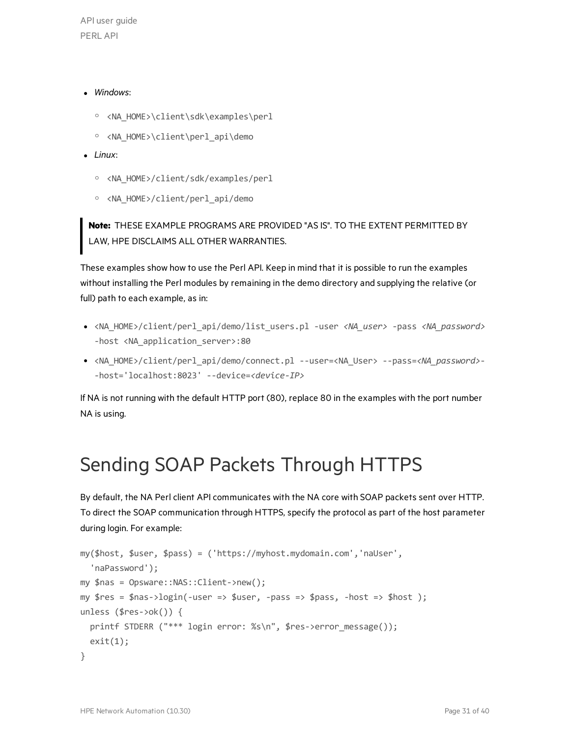API user guide PERL API

#### <sup>l</sup> *Windows*:

- o <NA\_HOME>\client\sdk\examples\perl
- o <NA\_HOME>\client\perl\_api\demo
- Linux:
	- o <NA\_HOME>/client/sdk/examples/perl
	- o <NA\_HOME>/client/perl\_api/demo

**Note:** THESE EXAMPLE PROGRAMS ARE PROVIDED "AS IS". TO THE EXTENT PERMITTED BY LAW, HPE DISCLAIMS ALL OTHER WARRANTIES.

These examples show how to use the Perl API. Keep in mind that it is possible to run the examples without installing the Perl modules by remaining in the demo directory and supplying the relative (or full) path to each example, as in:

- <sup>l</sup> <NA\_HOME>/client/perl\_api/demo/list\_users.pl -user *<NA\_user>* -pass *<NA\_password>* -host <NA\_application\_server>:80
- <sup>l</sup> <NA\_HOME>/client/perl\_api/demo/connect.pl --user=<NA\_User> --pass=*<NA\_password>* -host='localhost:8023' --device=*<device-IP>*

If NA is not running with the default HTTP port (80), replace 80 in the examples with the port number NA is using.

# <span id="page-30-0"></span>Sending SOAP Packets Through HTTPS

By default, the NA Perl client API communicates with the NA core with SOAP packets sent over HTTP. To direct the SOAP communication through HTTPS, specify the protocol as part of the host parameter during login. For example:

```
my($host, $user, $pass) = ('https://myhost.mydomain.com','naUser',
    'naPassword');
my $nas = Opsware::NAS::Client->new();
my $res = $nas->login(-user => $user, -pass => $pass, -host => $host );
unless ($res->ok()) {
    printf STDERR ("*** login error: %s\n", $res->error_message());
  exit(1);}
```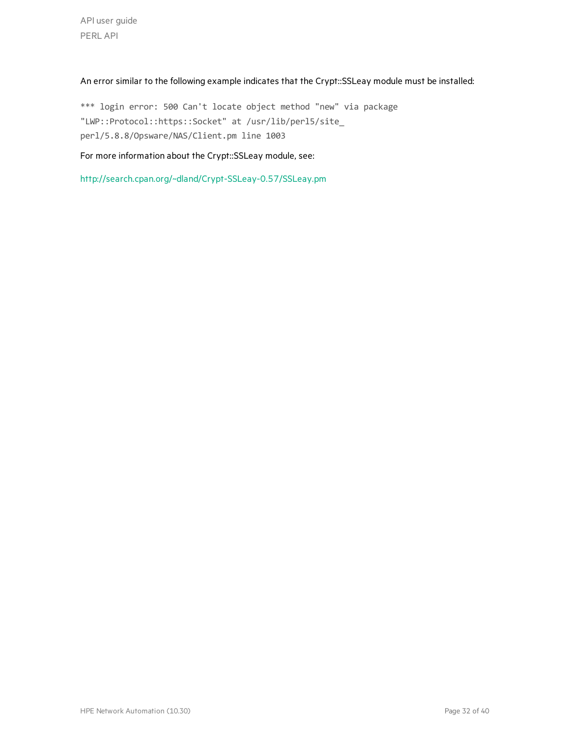API user guide PERL API

#### An error similar to the following example indicates that the Crypt::SSLeay module must be installed:

\*\*\* login error: 500 Can't locate object method "new" via package "LWP::Protocol::https::Socket" at /usr/lib/perl5/site\_ perl/5.8.8/Opsware/NAS/Client.pm line 1003

#### For more information about the Crypt::SSLeay module, see:

<http://search.cpan.org/~dland/Crypt-SSLeay-0.57/SSLeay.pm>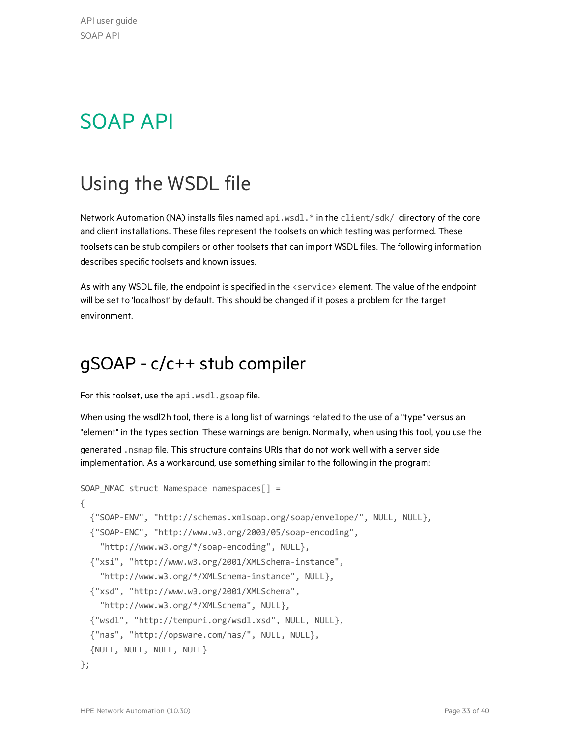API user guide SOAP API

# <span id="page-32-0"></span>SOAP API

# <span id="page-32-1"></span>Using the WSDL file

Network Automation (NA) installs files named api.wsdl.\* in the client/sdk/ directory of the core and client installations. These files represent the toolsets on which testing was performed. These toolsets can be stub compilers or other toolsets that can import WSDL files. The following information describes specific toolsets and known issues.

As with any WSDL file, the endpoint is specified in the <service> element. The value of the endpoint will be set to 'localhost' by default. This should be changed if it poses a problem for the target environment.

### <span id="page-32-2"></span>gSOAP - c/c++ stub compiler

For this toolset, use the api.wsdl.gsoap file.

When using the wsdl2h tool, there is a long list of warnings related to the use of a "type" versus an "element" in the types section. These warnings are benign. Normally, when using this tool, you use the generated .nsmap file. This structure contains URIs that do not work well with a server side implementation. As a workaround, use something similar to the following in the program:

```
SOAP NMAC struct Namespace namespaces[ ] ={
  {"SOAP-ENV", "http://schemas.xmlsoap.org/soap/envelope/", NULL, NULL},
  {"SOAP-ENC", "http://www.w3.org/2003/05/soap-encoding",
        "http://www.w3.org/*/soap-encoding", NULL},
  {"xsi", "http://www.w3.org/2001/XMLSchema-instance",
        "http://www.w3.org/*/XMLSchema-instance", NULL},
  {"xsd", "http://www.w3.org/2001/XMLSchema",
        "http://www.w3.org/*/XMLSchema", NULL},
  {"wsdl", "http://tempuri.org/wsdl.xsd", NULL, NULL},
  {"nas", "http://opsware.com/nas/", NULL, NULL},
  {NULL, NULL, NULL, NULL}
```

```
};
```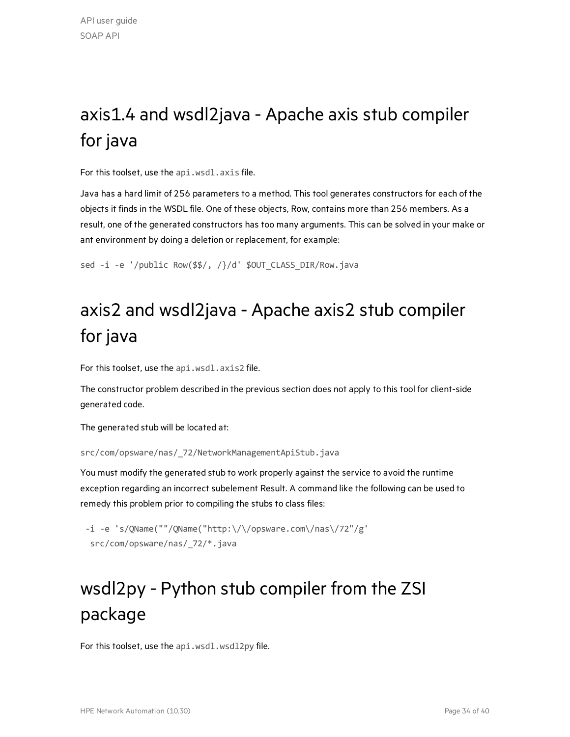# <span id="page-33-0"></span>axis1.4 and wsdl2java - Apache axis stub compiler for java

For this toolset, use the api.wsdl.axis file.

Java has a hard limit of 256 parameters to a method. This tool generates constructors for each of the objects it finds in the WSDL file. One of these objects, Row, contains more than 256 members. As a result, one of the generated constructors has too many arguments. This can be solved in your make or ant environment by doing a deletion or replacement, for example:

<span id="page-33-1"></span>sed -i -e '/public Row(\$\$/, /}/d' \$OUT\_CLASS\_DIR/Row.java

# axis2 and wsdl2java - Apache axis2 stub compiler for java

For this toolset, use the api.wsdl.axis2 file.

The constructor problem described in the previous section does not apply to this tool for client-side generated code.

The generated stub will be located at:

src/com/opsware/nas/\_72/NetworkManagementApiStub.java

You must modify the generated stub to work properly against the service to avoid the runtime exception regarding an incorrect subelement Result. A command like the following can be used to remedy this problem prior to compiling the stubs to class files:

```
-i -e 's/QName(""/QName("http:\/\/opsware.com\/nas\/72"/g'
  src/com/opsware/nas/_72/*.java
```
# <span id="page-33-2"></span>wsdl2py - Python stub compiler from the ZSI package

For this toolset, use the api.wsdl.wsdl2py file.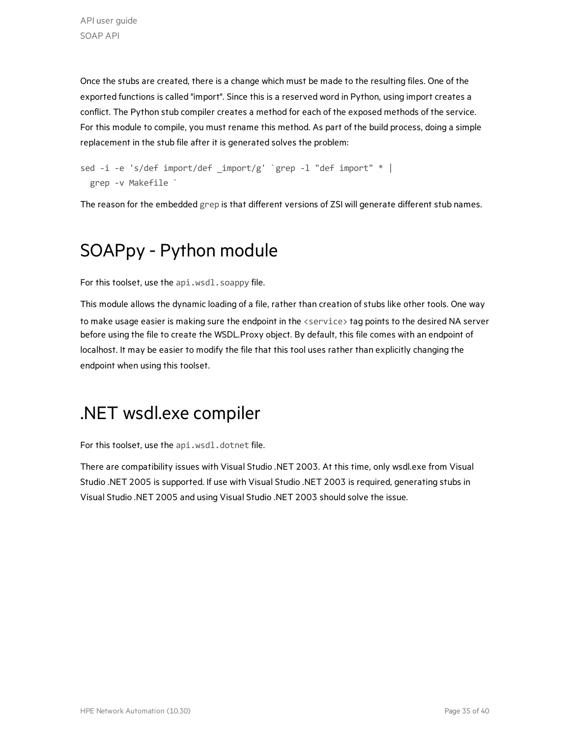Once the stubs are created, there is a change which must be made to the resulting files. One of the exported functions is called "import". Since this is a reserved word in Python, using import creates a conflict. The Python stub compiler creates a method for each of the exposed methods of the service. For this module to compile, you must rename this method. As part of the build process, doing a simple replacement in the stub file after it is generated solves the problem:

```
sed -i -e 's/def import/def _import/g' `grep -l "def import" * |
   grep -v Makefile `
```
<span id="page-34-0"></span>The reason for the embedded grep is that different versions of ZSI will generate different stub names.

# SOAPpy - Python module

For this toolset, use the api.wsdl.soappy file.

This module allows the dynamic loading of a file, rather than creation of stubs like other tools. One way to make usage easier is making sure the endpoint in the <service> tag points to the desired NA server before using the file to create the WSDL.Proxy object. By default, this file comes with an endpoint of localhost. It may be easier to modify the file that this tool uses rather than explicitly changing the endpoint when using this toolset.

### <span id="page-34-1"></span>.NET wsdl.exe compiler

For this toolset, use the api.wsdl.dotnet file.

There are compatibility issues with Visual Studio .NET 2003. At this time, only wsdl.exe from Visual Studio .NET 2005 is supported. If use with Visual Studio .NET 2003 is required, generating stubs in Visual Studio .NET 2005 and using Visual Studio .NET 2003 should solve the issue.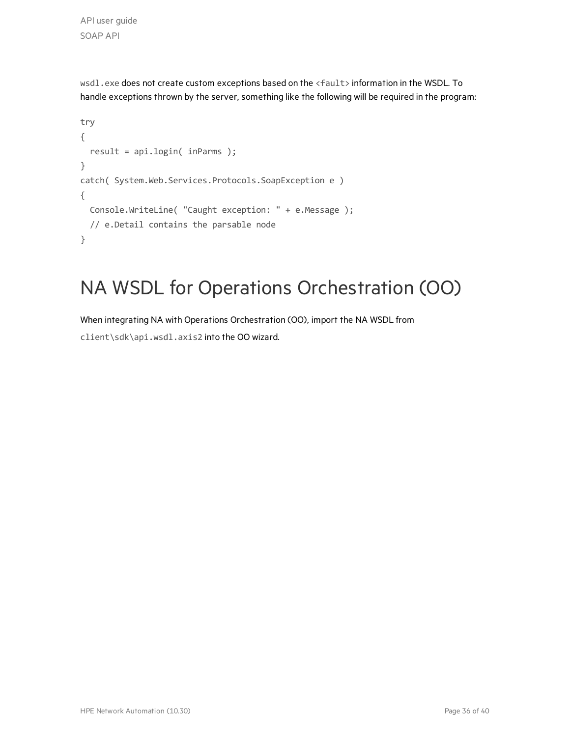API user guide SOAP API

wsdl.exe does not create custom exceptions based on the <fault> information in the WSDL. To handle exceptions thrown by the server, something like the following will be required in the program:

```
try
{
    result = api.login( inParms );
}
catch( System.Web.Services.Protocols.SoapException e )
{
    Console.WriteLine( "Caught exception: " + e.Message );
    // e.Detail contains the parsable node
}
```
# <span id="page-35-0"></span>NA WSDL for Operations Orchestration (OO)

When integrating NA with Operations Orchestration (OO), import the NA WSDL from

client\sdk\api.wsdl.axis2 into the OO wizard.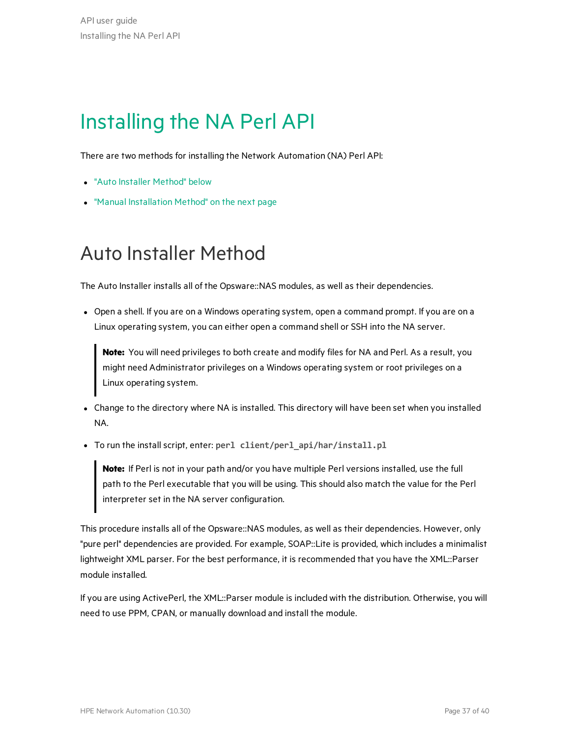# <span id="page-36-0"></span>Installing the NA Perl API

There are two methods for installing the Network Automation (NA) Perl API:

- **.** "Auto Installer [Method"](#page-36-1) below
- <span id="page-36-1"></span>• "Manual [Installation](#page-37-0) Method" on the next page

# Auto Installer Method

The Auto Installer installs all of the Opsware::NAS modules, as well as their dependencies.

• Open a shell. If you are on a Windows operating system, open a command prompt. If you are on a Linux operating system, you can either open a command shell or SSH into the NA server.

**Note:** You will need privileges to both create and modify files for NA and Perl. As a result, you might need Administrator privileges on a Windows operating system or root privileges on a Linux operating system.

- Change to the directory where NA is installed. This directory will have been set when you installed NA.
- <sup>l</sup> To run the install script, enter: **perl client/perl\_api/har/install.pl**

**Note:** If Perl is not in your path and/or you have multiple Perl versions installed, use the full path to the Perl executable that you will be using. This should also match the value for the Perl interpreter set in the NA server configuration.

This procedure installs all of the Opsware::NAS modules, as well as their dependencies. However, only "pure perl" dependencies are provided. For example, SOAP::Lite is provided, which includes a minimalist lightweight XML parser. For the best performance, it is recommended that you have the XML::Parser module installed.

If you are using ActivePerl, the XML::Parser module is included with the distribution. Otherwise, you will need to use PPM, CPAN, or manually download and install the module.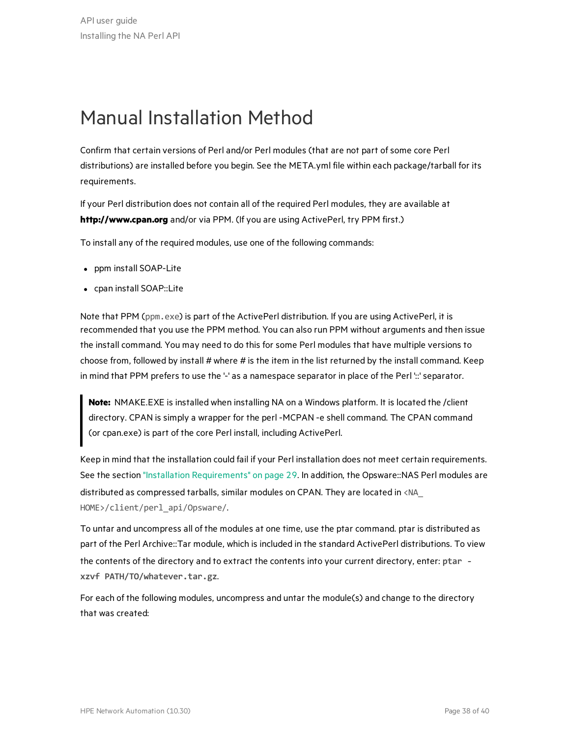# <span id="page-37-0"></span>Manual Installation Method

Confirm that certain versions of Perl and/or Perl modules (that are not part ofsome core Perl distributions) are installed before you begin. See the META.yml file within each package/tarball for its requirements.

If your Perl distribution does not contain all of the required Perl modules, they are available at **[http://www.cpan.org](http://www.cpan.org/)** and/or via PPM. (If you are using ActivePerl, try PPM first.)

To install any of the required modules, use one of the following commands:

- ppm install SOAP-Lite
- cpan install SOAP::Lite

Note that PPM (ppm.exe) is part of the ActivePerl distribution. If you are using ActivePerl, it is recommended that you use the PPM method. You can also run PPM without arguments and then issue the install command. You may need to do this for some Perl modules that have multiple versions to choose from, followed by install  $#$  where  $#$  is the item in the list returned by the install command. Keep in mind that PPM prefers to use the '-' as a namespace separator in place of the Perl '::' separator.

**Note:** NMAKE.EXE is installed when installing NA on a Windows platform. It is located the /client directory. CPAN is simply a wrapper for the perl -MCPAN -e shell command. The CPAN command (or cpan.exe) is part of the core Perl install, including ActivePerl.

Keep in mind that the installation could fail if your Perl installation does not meet certain requirements. See the section "Installation [Requirements"](#page-28-2) on page 29. In addition, the Opsware::NAS Perl modules are distributed as compressed tarballs, similar modules on CPAN. They are located in <NA\_ HOME>/client/perl\_api/Opsware/.

To untar and uncompress all of the modules at one time, use the ptar command. ptar is distributed as part of the Perl Archive::Tar module, which is included in the standard ActivePerl distributions. To view the contents of the directory and to extract the contents into your current directory, enter: **ptar xzvf PATH/TO/whatever.tar.gz**.

For each of the following modules, uncompress and untar the module(s) and change to the directory that was created: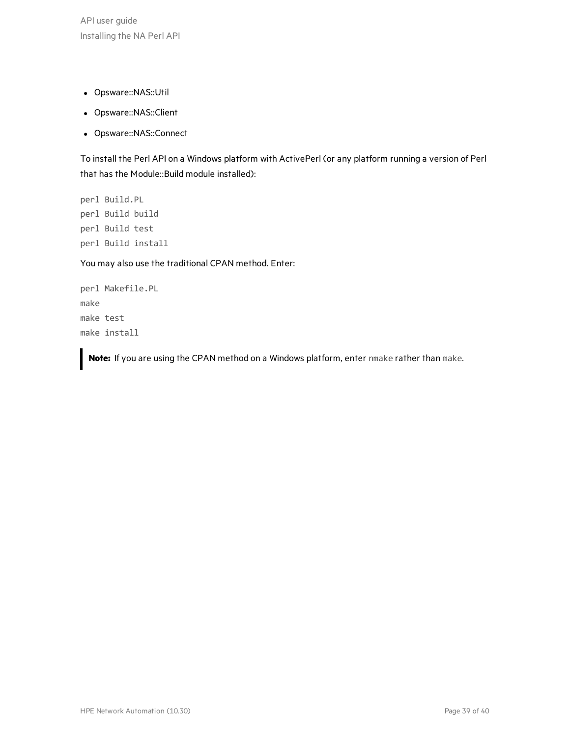API user guide Installing the NA Perl API

- Opsware::NAS::Util
- Opsware::NAS::Client
- Opsware::NAS::Connect

To install the Perl API on a Windows platform with ActivePerl (or any platform running a version of Perl that has the Module::Build module installed):

perl Build.PL perl Build build perl Build test perl Build install

You may also use the traditional CPAN method. Enter:

perl Makefile.PL make make test make install

**Note:** If you are using the CPAN method on a Windows platform, enter nmake rather than make.